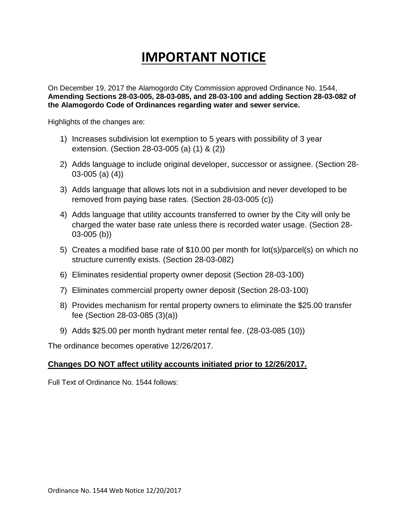# **IMPORTANT NOTICE**

On December 19, 2017 the Alamogordo City Commission approved Ordinance No. 1544, **Amending Sections 28-03-005, 28-03-085, and 28-03-100 and adding Section 28-03-082 of the Alamogordo Code of Ordinances regarding water and sewer service.**

Highlights of the changes are:

- 1) Increases subdivision lot exemption to 5 years with possibility of 3 year extension. (Section 28-03-005 (a) (1) & (2))
- 2) Adds language to include original developer, successor or assignee. (Section 28- 03-005 (a) (4))
- 3) Adds language that allows lots not in a subdivision and never developed to be removed from paying base rates. (Section 28-03-005 (c))
- 4) Adds language that utility accounts transferred to owner by the City will only be charged the water base rate unless there is recorded water usage. (Section 28- 03-005 (b))
- 5) Creates a modified base rate of \$10.00 per month for lot(s)/parcel(s) on which no structure currently exists. (Section 28-03-082)
- 6) Eliminates residential property owner deposit (Section 28-03-100)
- 7) Eliminates commercial property owner deposit (Section 28-03-100)
- 8) Provides mechanism for rental property owners to eliminate the \$25.00 transfer fee (Section 28-03-085 (3)(a))
- 9) Adds \$25.00 per month hydrant meter rental fee. (28-03-085 (10))

The ordinance becomes operative 12/26/2017.

## **Changes DO NOT affect utility accounts initiated prior to 12/26/2017.**

Full Text of Ordinance No. 1544 follows: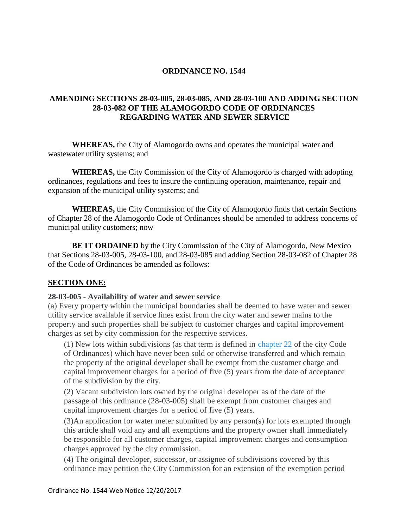## **ORDINANCE NO. 1544**

## **AMENDING SECTIONS 28-03-005, 28-03-085, AND 28-03-100 AND ADDING SECTION 28-03-082 OF THE ALAMOGORDO CODE OF ORDINANCES REGARDING WATER AND SEWER SERVICE**

**WHEREAS,** the City of Alamogordo owns and operates the municipal water and wastewater utility systems; and

**WHEREAS,** the City Commission of the City of Alamogordo is charged with adopting ordinances, regulations and fees to insure the continuing operation, maintenance, repair and expansion of the municipal utility systems; and

**WHEREAS,** the City Commission of the City of Alamogordo finds that certain Sections of Chapter 28 of the Alamogordo Code of Ordinances should be amended to address concerns of municipal utility customers; now

**BE IT ORDAINED** by the City Commission of the City of Alamogordo, New Mexico that Sections 28-03-005, 28-03-100, and 28-03-085 and adding Section 28-03-082 of Chapter 28 of the Code of Ordinances be amended as follows:

## **SECTION ONE:**

## **28-03-005 - Availability of water and sewer service**

(a) Every property within the municipal boundaries shall be deemed to have water and sewer utility service available if service lines exist from the city water and sewer mains to the property and such properties shall be subject to customer charges and capital improvement charges as set by city commission for the respective services.

(1) New lots within subdivisions (as that term is defined in [chapter 22](https://library.municode.com/nm/alamogordo/codes/code_of_ordinances?nodeId=PTIICOOR_CH22SURE) of the city Code of Ordinances) which have never been sold or otherwise transferred and which remain the property of the original developer shall be exempt from the customer charge and capital improvement charges for a period of five (5) years from the date of acceptance of the subdivision by the city.

(2) Vacant subdivision lots owned by the original developer as of the date of the passage of this ordinance (28-03-005) shall be exempt from customer charges and capital improvement charges for a period of five (5) years.

(3)An application for water meter submitted by any person(s) for lots exempted through this article shall void any and all exemptions and the property owner shall immediately be responsible for all customer charges, capital improvement charges and consumption charges approved by the city commission.

(4) The original developer, successor, or assignee of subdivisions covered by this ordinance may petition the City Commission for an extension of the exemption period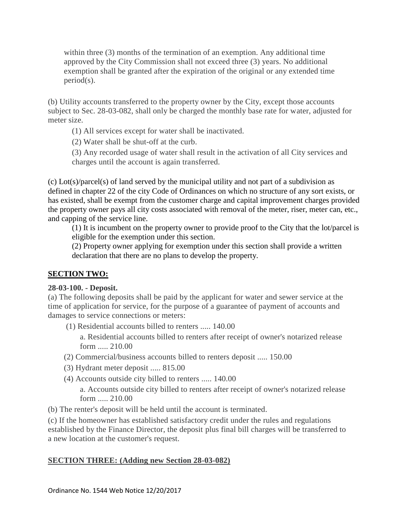within three (3) months of the termination of an exemption. Any additional time approved by the City Commission shall not exceed three (3) years. No additional exemption shall be granted after the expiration of the original or any extended time period(s).

(b) Utility accounts transferred to the property owner by the City, except those accounts subject to Sec. 28-03-082, shall only be charged the monthly base rate for water, adjusted for meter size.

(1) All services except for water shall be inactivated.

(2) Water shall be shut-off at the curb.

(3) Any recorded usage of water shall result in the activation of all City services and charges until the account is again transferred.

(c) Lot(s)/parcel(s) of land served by the municipal utility and not part of a subdivision as defined in chapter 22 of the city Code of Ordinances on which no structure of any sort exists, or has existed, shall be exempt from the customer charge and capital improvement charges provided the property owner pays all city costs associated with removal of the meter, riser, meter can, etc., and capping of the service line.

(1) It is incumbent on the property owner to provide proof to the City that the lot/parcel is eligible for the exemption under this section.

(2) Property owner applying for exemption under this section shall provide a written declaration that there are no plans to develop the property.

# **SECTION TWO:**

## **28-03-100. - Deposit.**

(a) The following deposits shall be paid by the applicant for water and sewer service at the time of application for service, for the purpose of a guarantee of payment of accounts and damages to service connections or meters:

(1) Residential accounts billed to renters ..... 140.00

a. Residential accounts billed to renters after receipt of owner's notarized release form ..... 210.00

- (2) Commercial/business accounts billed to renters deposit ..... 150.00
- (3) Hydrant meter deposit ..... 815.00
- (4) Accounts outside city billed to renters ..... 140.00

a. Accounts outside city billed to renters after receipt of owner's notarized release form ..... 210.00

(b) The renter's deposit will be held until the account is terminated.

(c) If the homeowner has established satisfactory credit under the rules and regulations established by the Finance Director, the deposit plus final bill charges will be transferred to a new location at the customer's request.

# **SECTION THREE: (Adding new Section 28-03-082)**

Ordinance No. 1544 Web Notice 12/20/2017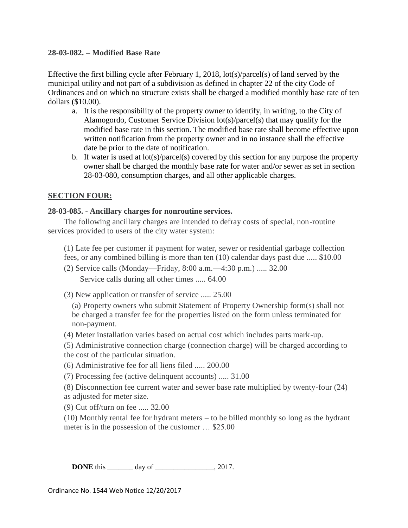## **28-03-082. – Modified Base Rate**

Effective the first billing cycle after February 1, 2018, lot(s)/parcel(s) of land served by the municipal utility and not part of a subdivision as defined in chapter 22 of the city Code of Ordinances and on which no structure exists shall be charged a modified monthly base rate of ten dollars (\$10.00).

- a. It is the responsibility of the property owner to identify, in writing, to the City of Alamogordo, Customer Service Division lot(s)/parcel(s) that may qualify for the modified base rate in this section. The modified base rate shall become effective upon written notification from the property owner and in no instance shall the effective date be prior to the date of notification.
- b. If water is used at lot(s)/parcel(s) covered by this section for any purpose the property owner shall be charged the monthly base rate for water and/or sewer as set in section 28-03-080, consumption charges, and all other applicable charges.

## **SECTION FOUR:**

## **28-03-085. - Ancillary charges for nonroutine services.**

The following ancillary charges are intended to defray costs of special, non-routine services provided to users of the city water system:

(1) Late fee per customer if payment for water, sewer or residential garbage collection fees, or any combined billing is more than ten (10) calendar days past due ..... \$10.00

- (2) Service calls (Monday—Friday, 8:00 a.m.—4:30 p.m.) ..... 32.00 Service calls during all other times ..... 64.00
- (3) New application or transfer of service ..... 25.00

(a) Property owners who submit Statement of Property Ownership form(s) shall not be charged a transfer fee for the properties listed on the form unless terminated for non-payment.

(4) Meter installation varies based on actual cost which includes parts mark-up.

(5) Administrative connection charge (connection charge) will be charged according to the cost of the particular situation.

- (6) Administrative fee for all liens filed ..... 200.00
- (7) Processing fee (active delinquent accounts) ..... 31.00
- (8) Disconnection fee current water and sewer base rate multiplied by twenty-four (24) as adjusted for meter size.
- (9) Cut off/turn on fee ..... 32.00

(10) Monthly rental fee for hydrant meters – to be billed monthly so long as the hydrant meter is in the possession of the customer … \$25.00

**DONE** this \_\_\_\_\_\_\_ day of \_\_\_\_\_\_\_\_\_\_\_\_\_, 2017.